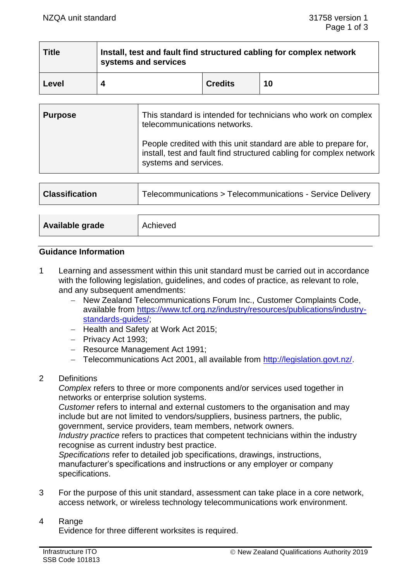| <b>Title</b> | Install, test and fault find structured cabling for complex network<br>systems and services |                |    |  |
|--------------|---------------------------------------------------------------------------------------------|----------------|----|--|
| ∣ Level      |                                                                                             | <b>Credits</b> | 10 |  |

| <b>Purpose</b> | This standard is intended for technicians who work on complex<br>telecommunications networks.                                                                    |
|----------------|------------------------------------------------------------------------------------------------------------------------------------------------------------------|
|                | People credited with this unit standard are able to prepare for,<br>install, test and fault find structured cabling for complex network<br>systems and services. |

| <b>Classification</b> | Telecommunications > Telecommunications - Service Delivery |
|-----------------------|------------------------------------------------------------|
|                       |                                                            |
| Available grade       | Achieved                                                   |

## **Guidance Information**

- 1 Learning and assessment within this unit standard must be carried out in accordance with the following legislation, guidelines, and codes of practice, as relevant to role, and any subsequent amendments:
	- − New Zealand Telecommunications Forum Inc., Customer Complaints Code, available from https://www.tcf.org.nz/industry/resources/publications/industrv[standards-guides/;](https://www.tcf.org.nz/industry/resources/publications/industry-standards-guides/)
	- − Health and Safety at Work Act 2015;
	- − Privacy Act 1993;
	- − Resource Management Act 1991;
	- − Telecommunications Act 2001, all available from [http://legislation.govt.nz/.](http://legislation.govt.nz/)
- 2 Definitions

*Complex* refers to three or more components and/or services used together in networks or enterprise solution systems.

*Customer* refers to internal and external customers to the organisation and may include but are not limited to vendors/suppliers, business partners, the public, government, service providers, team members, network owners.

*Industry practice* refers to practices that competent technicians within the industry recognise as current industry best practice.

*Specifications* refer to detailed job specifications, drawings, instructions, manufacturer's specifications and instructions or any employer or company specifications.

3 For the purpose of this unit standard, assessment can take place in a core network, access network, or wireless technology telecommunications work environment.

#### 4 Range

Evidence for three different worksites is required.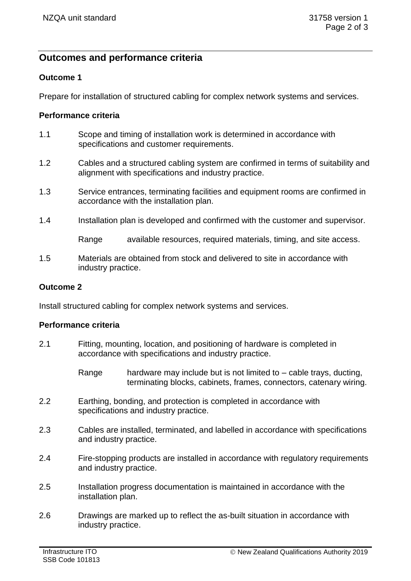# **Outcomes and performance criteria**

## **Outcome 1**

Prepare for installation of structured cabling for complex network systems and services.

## **Performance criteria**

- 1.1 Scope and timing of installation work is determined in accordance with specifications and customer requirements.
- 1.2 Cables and a structured cabling system are confirmed in terms of suitability and alignment with specifications and industry practice.
- 1.3 Service entrances, terminating facilities and equipment rooms are confirmed in accordance with the installation plan.
- 1.4 Installation plan is developed and confirmed with the customer and supervisor.

Range available resources, required materials, timing, and site access.

1.5 Materials are obtained from stock and delivered to site in accordance with industry practice.

#### **Outcome 2**

Install structured cabling for complex network systems and services.

#### **Performance criteria**

- 2.1 Fitting, mounting, location, and positioning of hardware is completed in accordance with specifications and industry practice.
	- Range hardware may include but is not limited to  $-$  cable trays, ducting, terminating blocks, cabinets, frames, connectors, catenary wiring.
- 2.2 Earthing, bonding, and protection is completed in accordance with specifications and industry practice.
- 2.3 Cables are installed, terminated, and labelled in accordance with specifications and industry practice.
- 2.4 Fire-stopping products are installed in accordance with regulatory requirements and industry practice.
- 2.5 Installation progress documentation is maintained in accordance with the installation plan.
- 2.6 Drawings are marked up to reflect the as-built situation in accordance with industry practice.